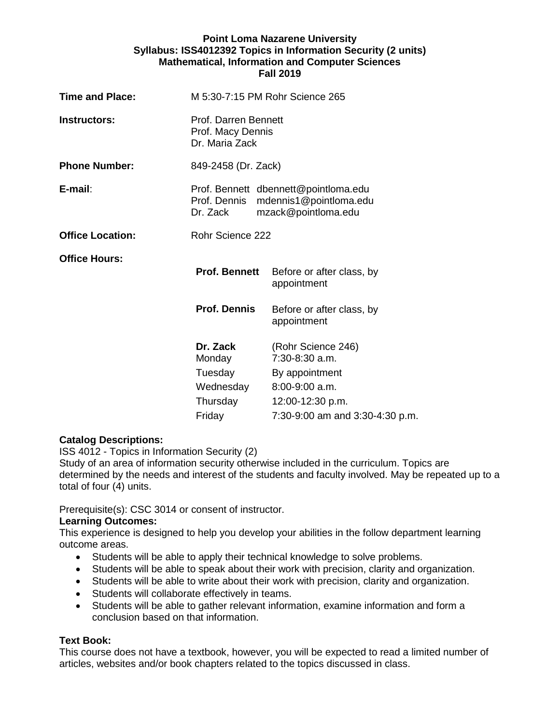#### **Point Loma Nazarene University Syllabus: ISS4012392 Topics in Information Security (2 units) Mathematical, Information and Computer Sciences Fall 2019**

| <b>Time and Place:</b>  | M 5:30-7:15 PM Rohr Science 265                                                                                |                                          |  |
|-------------------------|----------------------------------------------------------------------------------------------------------------|------------------------------------------|--|
| Instructors:            | Prof. Darren Bennett<br>Prof. Macy Dennis<br>Dr. Maria Zack                                                    |                                          |  |
| <b>Phone Number:</b>    | 849-2458 (Dr. Zack)                                                                                            |                                          |  |
| E-mail:                 | Prof. Bennett dbennett@pointloma.edu<br>Prof. Dennis mdennis1@pointloma.edu<br>mzack@pointloma.edu<br>Dr. Zack |                                          |  |
| <b>Office Location:</b> | Rohr Science 222                                                                                               |                                          |  |
| <b>Office Hours:</b>    | <b>Prof. Bennett</b>                                                                                           | Before or after class, by<br>appointment |  |
|                         | <b>Prof. Dennis</b>                                                                                            | Before or after class, by<br>appointment |  |
|                         | Dr. Zack<br>Monday                                                                                             | (Rohr Science 246)<br>$7:30-8:30$ a.m.   |  |
|                         | Tuesday                                                                                                        | By appointment                           |  |
|                         | Wednesday                                                                                                      | 8:00-9:00 a.m.                           |  |
|                         | Thursday                                                                                                       | 12:00-12:30 p.m.                         |  |
|                         | Friday                                                                                                         | 7:30-9:00 am and 3:30-4:30 p.m.          |  |
|                         |                                                                                                                |                                          |  |

## **Catalog Descriptions:**

ISS 4012 - Topics in Information Security (2)

Study of an area of information security otherwise included in the curriculum. Topics are determined by the needs and interest of the students and faculty involved. May be repeated up to a total of four (4) units.

Prerequisite(s): CSC 3014 or consent of instructor.

#### **Learning Outcomes:**

This experience is designed to help you develop your abilities in the follow department learning outcome areas.

- Students will be able to apply their technical knowledge to solve problems.
- Students will be able to speak about their work with precision, clarity and organization.
- Students will be able to write about their work with precision, clarity and organization.
- Students will collaborate effectively in teams.
- Students will be able to gather relevant information, examine information and form a conclusion based on that information.

## **Text Book:**

This course does not have a textbook, however, you will be expected to read a limited number of articles, websites and/or book chapters related to the topics discussed in class.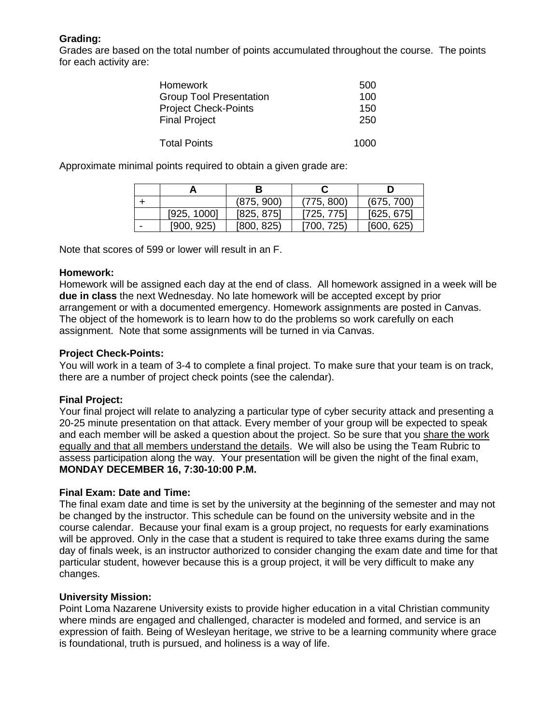# **Grading:**

Grades are based on the total number of points accumulated throughout the course. The points for each activity are:

| <b>Homework</b>                | 500  |
|--------------------------------|------|
| <b>Group Tool Presentation</b> | 100  |
| <b>Project Check-Points</b>    | 150  |
| <b>Final Project</b>           | 250  |
|                                |      |
| <b>Total Points</b>            | 1000 |

Approximate minimal points required to obtain a given grade are:

|   |             | (875, 900) | (775, 800) | (675, 700) |
|---|-------------|------------|------------|------------|
|   | [925, 1000] | [825, 875] | [725, 775] | [625, 675] |
| - | [900, 925]  | [800, 825] | [700, 725] | [600, 625] |

Note that scores of 599 or lower will result in an F.

#### **Homework:**

Homework will be assigned each day at the end of class. All homework assigned in a week will be **due in class** the next Wednesday. No late homework will be accepted except by prior arrangement or with a documented emergency. Homework assignments are posted in Canvas. The object of the homework is to learn how to do the problems so work carefully on each assignment. Note that some assignments will be turned in via Canvas.

## **Project Check-Points:**

You will work in a team of 3-4 to complete a final project. To make sure that your team is on track, there are a number of project check points (see the calendar).

## **Final Project:**

Your final project will relate to analyzing a particular type of cyber security attack and presenting a 20-25 minute presentation on that attack. Every member of your group will be expected to speak and each member will be asked a question about the project. So be sure that you share the work equally and that all members understand the details. We will also be using the Team Rubric to assess participation along the way. Your presentation will be given the night of the final exam, **MONDAY DECEMBER 16, 7:30-10:00 P.M.**

## **Final Exam: Date and Time:**

The final exam date and time is set by the university at the beginning of the semester and may not be changed by the instructor. This schedule can be found on the university website and in the course calendar. Because your final exam is a group project, no requests for early examinations will be approved. Only in the case that a student is required to take three exams during the same day of finals week, is an instructor authorized to consider changing the exam date and time for that particular student, however because this is a group project, it will be very difficult to make any changes.

## **University Mission:**

Point Loma Nazarene University exists to provide higher education in a vital Christian community where minds are engaged and challenged, character is modeled and formed, and service is an expression of faith. Being of Wesleyan heritage, we strive to be a learning community where grace is foundational, truth is pursued, and holiness is a way of life.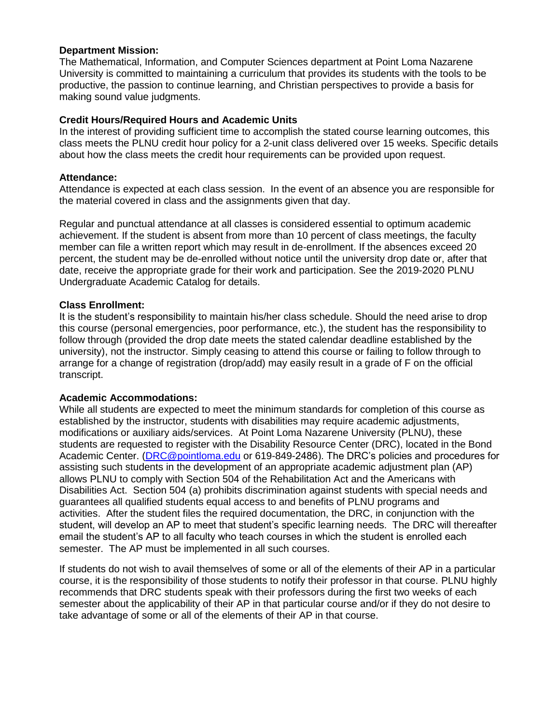#### **Department Mission:**

The Mathematical, Information, and Computer Sciences department at Point Loma Nazarene University is committed to maintaining a curriculum that provides its students with the tools to be productive, the passion to continue learning, and Christian perspectives to provide a basis for making sound value judgments.

#### **Credit Hours/Required Hours and Academic Units**

In the interest of providing sufficient time to accomplish the stated course learning outcomes, this class meets the PLNU credit hour policy for a 2-unit class delivered over 15 weeks. Specific details about how the class meets the credit hour requirements can be provided upon request.

#### **Attendance:**

Attendance is expected at each class session. In the event of an absence you are responsible for the material covered in class and the assignments given that day.

Regular and punctual attendance at all classes is considered essential to optimum academic achievement. If the student is absent from more than 10 percent of class meetings, the faculty member can file a written report which may result in de-enrollment. If the absences exceed 20 percent, the student may be de-enrolled without notice until the university drop date or, after that date, receive the appropriate grade for their work and participation. See the 2019-2020 PLNU Undergraduate Academic Catalog for details.

#### **Class Enrollment:**

It is the student's responsibility to maintain his/her class schedule. Should the need arise to drop this course (personal emergencies, poor performance, etc.), the student has the responsibility to follow through (provided the drop date meets the stated calendar deadline established by the university), not the instructor. Simply ceasing to attend this course or failing to follow through to arrange for a change of registration (drop/add) may easily result in a grade of F on the official transcript.

## **Academic Accommodations:**

While all students are expected to meet the minimum standards for completion of this course as established by the instructor, students with disabilities may require academic adjustments, modifications or auxiliary aids/services. At Point Loma Nazarene University (PLNU), these students are requested to register with the Disability Resource Center (DRC), located in the Bond Academic Center. [\(DRC@pointloma.edu](mailto:DRC@pointloma.edu) or 619-849-2486). The DRC's policies and procedures for assisting such students in the development of an appropriate academic adjustment plan (AP) allows PLNU to comply with Section 504 of the Rehabilitation Act and the Americans with Disabilities Act. Section 504 (a) prohibits discrimination against students with special needs and guarantees all qualified students equal access to and benefits of PLNU programs and activities. After the student files the required documentation, the DRC, in conjunction with the student, will develop an AP to meet that student's specific learning needs. The DRC will thereafter email the student's AP to all faculty who teach courses in which the student is enrolled each semester. The AP must be implemented in all such courses.

If students do not wish to avail themselves of some or all of the elements of their AP in a particular course, it is the responsibility of those students to notify their professor in that course. PLNU highly recommends that DRC students speak with their professors during the first two weeks of each semester about the applicability of their AP in that particular course and/or if they do not desire to take advantage of some or all of the elements of their AP in that course.